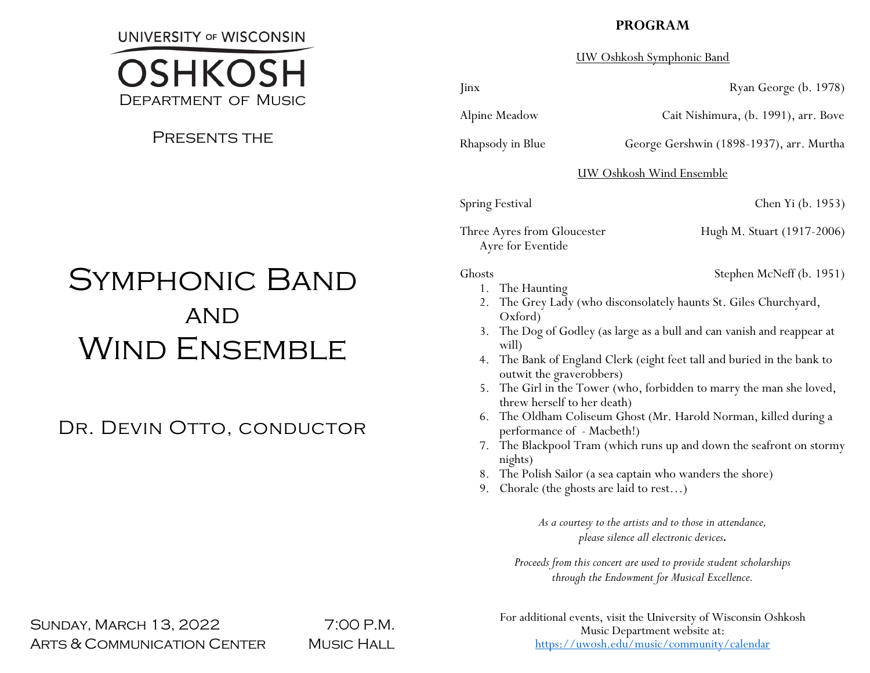**UNIVERSITY OF WISCONSIN** 

# OSHKOSH Department of Music

# Presents the

# SYMPHONIC BAND **AND** WIND ENSEMBLE

Dr. Devin Otto, conductor

# **PROGRAM**

## UW Oshkosh Symphonic Band

Alpine Meadow Cait Nishimura, (b. 1991), arr. Bove

Rhapsody in Blue George Gershwin (1898-1937), arr. Murtha

UW Oshkosh Wind Ensemble

Spring Festival Chen Yi (b. 1953)

Three Ayres from Gloucester Hugh M. Stuart (1917-2006) Ayre for Eventide

Ghosts Stephen McNeff (b. 1951)

- 1. The Haunting
- 2. The Grey Lady (who disconsolately haunts St. Giles Churchyard, Oxford)
- 3. The Dog of Godley (as large as a bull and can vanish and reappear at will)
- 4. The Bank of England Clerk (eight feet tall and buried in the bank to outwit the graverobbers)
- 5. The Girl in the Tower (who, forbidden to marry the man she loved, threw herself to her death)
- 6. The Oldham Coliseum Ghost (Mr. Harold Norman, killed during a performance of - Macbeth!)
- 7. The Blackpool Tram (which runs up and down the seafront on stormy nights)
- 8. The Polish Sailor (a sea captain who wanders the shore)
- 9. Chorale (the ghosts are laid to rest…)

*As a courtesy to the artists and to those in attendance, please silence all electronic devices.*

*Proceeds from this concert are used to provide student scholarships through the Endowment for Musical Excellence.*

SUNDAY, MARCH 13, 2022 7:00 P.M. ARTS & COMMUNICATION CENTER MUSIC HALL

For additional events, visit the University of Wisconsin Oshkosh Music Department website at: <https://uwosh.edu/music/community/calendar>

Jinx Ryan George (b. 1978)